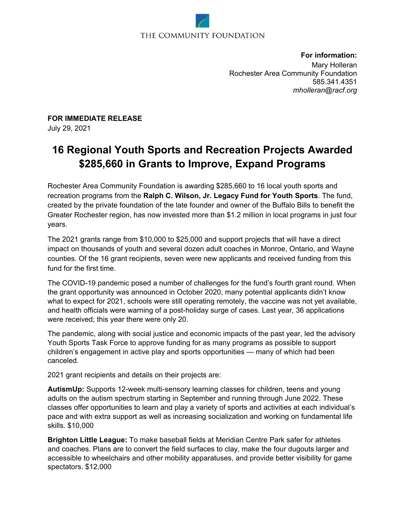## THE COMMUNITY FOUNDATION

**For information:**  Mary Holleran Rochester Area Community Foundation 585.341.4351 *mholleran@racf.org* 

**FOR IMMEDIATE RELEASE** July 29, 2021

## **16 Regional Youth Sports and Recreation Projects Awarded \$285,660 in Grants to Improve, Expand Programs**

Rochester Area Community Foundation is awarding \$285,660 to 16 local youth sports and recreation programs from the **Ralph C. Wilson, Jr. Legacy Fund for Youth Sports**. The fund, created by the private foundation of the late founder and owner of the Buffalo Bills to benefit the Greater Rochester region, has now invested more than \$1.2 million in local programs in just four years.

The 2021 grants range from \$10,000 to \$25,000 and support projects that will have a direct impact on thousands of youth and several dozen adult coaches in Monroe, Ontario, and Wayne counties. Of the 16 grant recipients, seven were new applicants and received funding from this fund for the first time.

The COVID-19 pandemic posed a number of challenges for the fund's fourth grant round. When the grant opportunity was announced in October 2020, many potential applicants didn't know what to expect for 2021, schools were still operating remotely, the vaccine was not yet available, and health officials were warning of a post-holiday surge of cases. Last year, 36 applications were received; this year there were only 20.

The pandemic, along with social justice and economic impacts of the past year, led the advisory Youth Sports Task Force to approve funding for as many programs as possible to support children's engagement in active play and sports opportunities — many of which had been canceled.

2021 grant recipients and details on their projects are:

**AutismUp:** Supports 12-week multi-sensory learning classes for children, teens and young adults on the autism spectrum starting in September and running through June 2022. These classes offer opportunities to learn and play a variety of sports and activities at each individual's pace and with extra support as well as increasing socialization and working on fundamental life skills. \$10,000

**Brighton Little League:** To make baseball fields at Meridian Centre Park safer for athletes and coaches. Plans are to convert the field surfaces to clay, make the four dugouts larger and accessible to wheelchairs and other mobility apparatuses, and provide better visibility for game spectators. \$12,000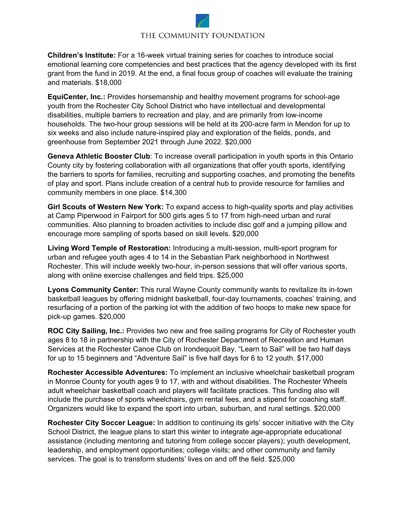## THE COMMUNITY FOUNDATION

**Children's Institute:** For a 16-week virtual training series for coaches to introduce social emotional learning core competencies and best practices that the agency developed with its first grant from the fund in 2019. At the end, a final focus group of coaches will evaluate the training and materials. \$18,000

**EquiCenter, Inc.:** Provides horsemanship and healthy movement programs for school-age youth from the Rochester City School District who have intellectual and developmental disabilities, multiple barriers to recreation and play, and are primarily from low-income households. The two-hour group sessions will be held at its 200-acre farm in Mendon for up to six weeks and also include nature-inspired play and exploration of the fields, ponds, and greenhouse from September 2021 through June 2022. \$20,000

**Geneva Athletic Booster Club**: To increase overall participation in youth sports in this Ontario County city by fostering collaboration with all organizations that offer youth sports, identifying the barriers to sports for families, recruiting and supporting coaches, and promoting the benefits of play and sport. Plans include creation of a central hub to provide resource for families and community members in one place. \$14,300

**Girl Scouts of Western New York:** To expand access to high-quality sports and play activities at Camp Piperwood in Fairport for 500 girls ages 5 to 17 from high-need urban and rural communities. Also planning to broaden activities to include disc golf and a jumping pillow and encourage more sampling of sports based on skill levels. \$20,000

**Living Word Temple of Restoration:** Introducing a multi-session, multi-sport program for urban and refugee youth ages 4 to 14 in the Sebastian Park neighborhood in Northwest Rochester. This will include weekly two-hour, in-person sessions that will offer various sports, along with online exercise challenges and field trips. \$25,000

**Lyons Community Center:** This rural Wayne County community wants to revitalize its in-town basketball leagues by offering midnight basketball, four-day tournaments, coaches' training, and resurfacing of a portion of the parking lot with the addition of two hoops to make new space for pick-up games. \$20,000

**ROC City Sailing, Inc.:** Provides two new and free sailing programs for City of Rochester youth ages 8 to 18 in partnership with the City of Rochester Department of Recreation and Human Services at the Rochester Canoe Club on Irondequoit Bay. "Learn to Sail" will be two half days for up to 15 beginners and "Adventure Sail" is five half days for 6 to 12 youth. \$17,000

**Rochester Accessible Adventures:** To implement an inclusive wheelchair basketball program in Monroe County for youth ages 9 to 17, with and without disabilities. The Rochester Wheels adult wheelchair basketball coach and players will facilitate practices. This funding also will include the purchase of sports wheelchairs, gym rental fees, and a stipend for coaching staff. Organizers would like to expand the sport into urban, suburban, and rural settings. \$20,000

**Rochester City Soccer League:** In addition to continuing its girls' soccer initiative with the City School District, the league plans to start this winter to integrate age-appropriate educational assistance (including mentoring and tutoring from college soccer players); youth development, leadership, and employment opportunities; college visits; and other community and family services. The goal is to transform students' lives on and off the field. \$25,000